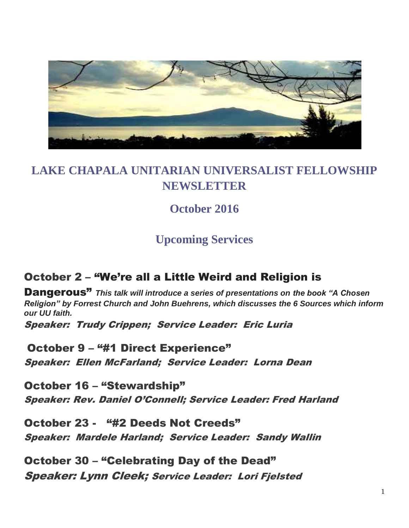

# **LAKE CHAPALA UNITARIAN UNIVERSALIST FELLOWSHIP NEWSLETTER**

# **October 2016**

# **Upcoming Services**

## October 2 – "We're all a Little Weird and Religion is

Dangerous" *This talk will introduce a series of presentations on the book "A Chosen Religion" by Forrest Church and John Buehrens, which discusses the 6 Sources which inform our UU faith.*

Speaker: Trudy Crippen; Service Leader: Eric Luria

October 9 – "#1 Direct Experience" Speaker: Ellen McFarland; Service Leader: Lorna Dean

October 16 – "Stewardship" Speaker: Rev. Daniel O'Connell; Service Leader: Fred Harland

October 23 - "#2 Deeds Not Creeds" Speaker: Mardele Harland; Service Leader: Sandy Wallin

October 30 – "Celebrating Day of the Dead" Speaker: Lynn Cleek; Service Leader: Lori Fjelsted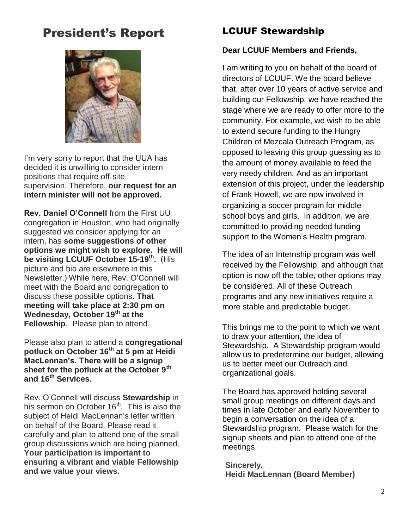# President's Report



I'm very sorry to report that the UUA has decided it is unwilling to consider intern positions that require off-site supervision. Therefore, **our request for an intern minister will not be approved.**

**Rev. Daniel O'Connell** from the First UU congregation in Houston, who had originally suggested we consider applying for an intern, has **some suggestions of other options we might wish to explore. He will be visiting LCUUF October 15-19th .** (His picture and bio are elsewhere in this Newsletter.) While here, Rev. O'Connell will meet with the Board and congregation to discuss these possible options. **That meeting will take place at 2:30 pm on Wednesday, October 19th at the Fellowship**. Please plan to attend.

Please also plan to attend a **congregational potluck on October 16th at 5 pm at Heidi MacLennan's. There will be a signup sheet for the potluck at the October 9th and 16th Services.**

Rev. O'Connell will discuss **Stewardship** in his sermon on October 16<sup>th</sup>. This is also the subject of Heidi MacLennan's letter written on behalf of the Board. Please read it carefully and plan to attend one of the small group discussions which are being planned. **Your participation is important to ensuring a vibrant and viable Fellowship and we value your views.**

#### LCUUF Stewardship

#### **Dear LCUUF Members and Friends,**

I am writing to you on behalf of the board of directors of LCUUF. We the board believe that, after over 10 years of active service and building our Fellowship, we have reached the stage where we are ready to offer more to the community. For example, we wish to be able to extend secure funding to the Hungry Children of Mezcala Outreach Program, as opposed to leaving this group guessing as to the amount of money available to feed the very needy children. And as an important extension of this project, under the leadership of Frank Howell, we are now involved in organizing a soccer program for middle school boys and girls. In addition, we are committed to providing needed funding support to the Women's Health program.

The idea of an Internship program was well received by the Fellowship, and although that option is now off the table, other options may be considered. All of these Outreach programs and any new initiatives require a more stable and predictable budget.

This brings me to the point to which we want to draw your attention, the idea of Stewardship. A Stewardship program would allow us to predetermine our budget, allowing us to better meet our Outreach and organizational goals.

The Board has approved holding several small group meetings on different days and times in late October and early November to begin a conversation on the idea of a Stewardship program. Please watch for the signup sheets and plan to attend one of the meetings.

**Sincerely, Heidi MacLennan (Board Member)**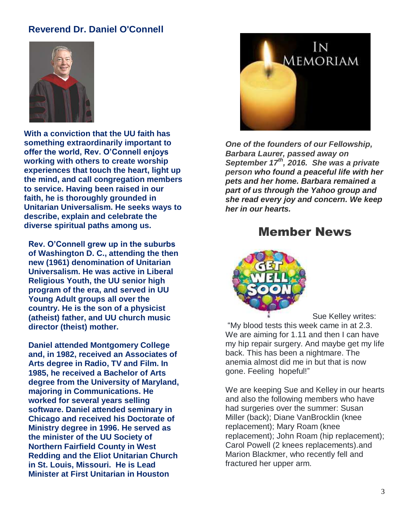#### **Reverend Dr. Daniel O'Connell**



**With a conviction that the UU faith has something extraordinarily important to offer the world, Rev. O'Connell enjoys working with others to create worship experiences that touch the heart, light up the mind, and call congregation members to service. Having been raised in our faith, he is thoroughly grounded in Unitarian Universalism. He seeks ways to describe, explain and celebrate the diverse spiritual paths among us.**

**Rev. O'Connell grew up in the suburbs of Washington D. C., attending the then new (1961) denomination of Unitarian Universalism. He was active in Liberal Religious Youth, the UU senior high program of the era, and served in UU Young Adult groups all over the country. He is the son of a physicist (atheist) father, and UU church music director (theist) mother.** 

**Daniel attended Montgomery College and, in 1982, received an Associates of Arts degree in Radio, TV and Film. In 1985, he received a Bachelor of Arts degree from the University of Maryland, majoring in Communications. He worked for several years selling software. Daniel attended seminary in Chicago and received his Doctorate of Ministry degree in 1996. He served as the minister of the UU Society of Northern Fairfield County in West Redding and the Eliot Unitarian Church in St. Louis, Missouri. He is Lead Minister at First Unitarian in Houston**



*One of the founders of our Fellowship, Barbara Laurer, passed away on September 17th, 2016. She was a private person who found a peaceful life with her pets and her home. Barbara remained a part of us through the Yahoo group and she read every joy and concern. We keep her in our hearts.*

#### Member News



Sue Kelley writes: "My blood tests this week came in at 2.3. We are aiming for 1.11 and then I can have my hip repair surgery. And maybe get my life back. This has been a nightmare. The anemia almost did me in but that is now gone. Feeling hopeful!"

We are keeping Sue and Kelley in our hearts and also the following members who have had surgeries over the summer: Susan Miller (back); Diane VanBrocklin (knee replacement); Mary Roam (knee replacement); John Roam (hip replacement); Carol Powell (2 knees replacements).and Marion Blackmer, who recently fell and fractured her upper arm.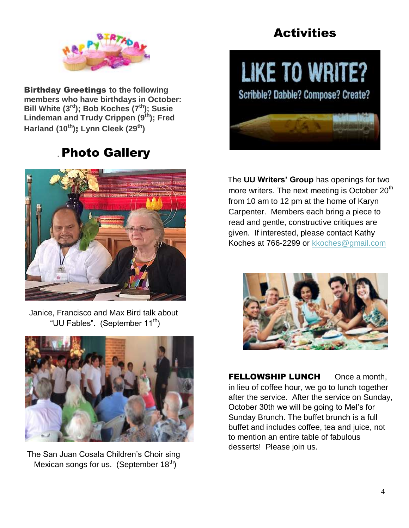

Birthday Greetings **to the following members who have birthdays in October: Bill White (3rd ); Bob Koches (7th); Susie Lindeman and Trudy Crippen (9th); Fred Harland (10th)**; **Lynn Cleek (29th)**

# . Photo Gallery



Janice, Francisco and Max Bird talk about "UU Fables". (September 11<sup>th</sup>)



The San Juan Cosala Children's Choir sing Mexican songs for us. (September  $18<sup>th</sup>$ )

# **Activities**

# LIKE TO WRITE?

Scribble? Dabble? Compose? Create?



The **UU Writers' Group** has openings for two more writers. The next meeting is October  $20<sup>th</sup>$ from 10 am to 12 pm at the home of Karyn Carpenter. Members each bring a piece to read and gentle, constructive critiques are given. If interested, please contact Kathy Koches at 766-2299 or [kkoches@gmail.com](mailto:kkoches@gmail.com)



**FELLOWSHIP LUNCH** Once a month, in lieu of coffee hour, we go to lunch together after the service. After the service on Sunday, October 30th we will be going to Mel's for Sunday Brunch. The buffet brunch is a full buffet and includes coffee, tea and juice, not to mention an entire table of fabulous desserts! Please join us.